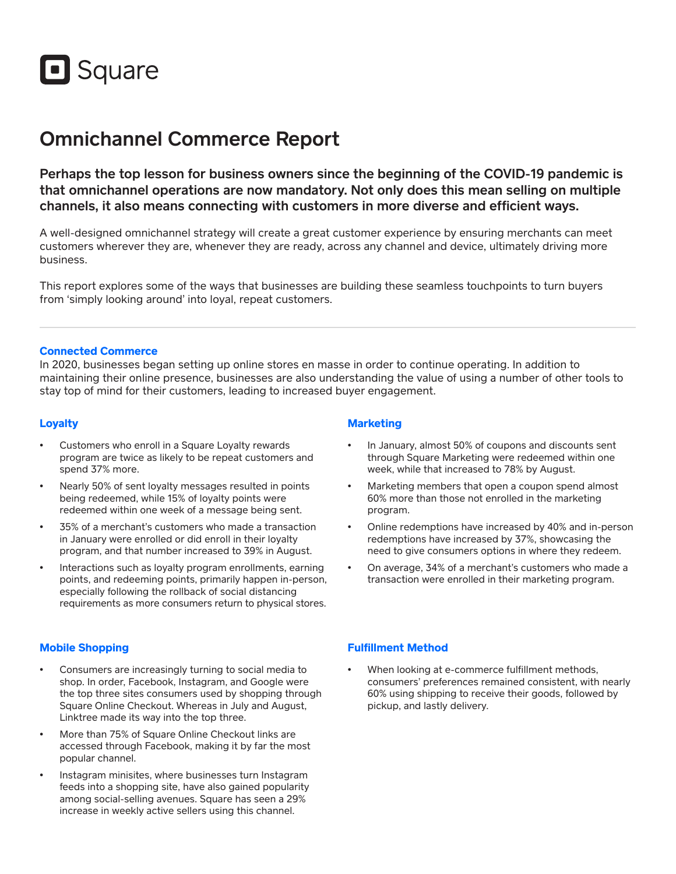

# Omnichannel Commerce Report

Perhaps the top lesson for business owners since the beginning of the COVID-19 pandemic is that omnichannel operations are now mandatory. Not only does this mean selling on multiple channels, it also means connecting with customers in more diverse and efficient ways.

A well-designed omnichannel strategy will create a great customer experience by ensuring merchants can meet customers wherever they are, whenever they are ready, across any channel and device, ultimately driving more business.

This report explores some of the ways that businesses are building these seamless touchpoints to turn buyers from 'simply looking around' into loyal, repeat customers.

#### **Connected Commerce**

In 2020, businesses began setting up online stores en masse in order to continue operating. In addition to maintaining their online presence, businesses are also understanding the value of using a number of other tools to stay top of mind for their customers, leading to increased buyer engagement.

## **Loyalty**

- Customers who enroll in a Square Loyalty rewards program are twice as likely to be repeat customers and spend 37% more.
- Nearly 50% of sent loyalty messages resulted in points being redeemed, while 15% of loyalty points were redeemed within one week of a message being sent.
- 35% of a merchant's customers who made a transaction in January were enrolled or did enroll in their loyalty program, and that number increased to 39% in August.
- Interactions such as loyalty program enrollments, earning points, and redeeming points, primarily happen in-person, especially following the rollback of social distancing requirements as more consumers return to physical stores.

### **Mobile Shopping**

- Consumers are increasingly turning to social media to shop. In order, Facebook, Instagram, and Google were the top three sites consumers used by shopping through Square Online Checkout. Whereas in July and August, Linktree made its way into the top three.
- More than 75% of Square Online Checkout links are accessed through Facebook, making it by far the most popular channel.
- Instagram minisites, where businesses turn Instagram feeds into a shopping site, have also gained popularity among social-selling avenues. Square has seen a 29% increase in weekly active sellers using this channel.

# **Marketing**

- In January, almost 50% of coupons and discounts sent through Square Marketing were redeemed within one week, while that increased to 78% by August.
- Marketing members that open a coupon spend almost 60% more than those not enrolled in the marketing program.
- Online redemptions have increased by 40% and in-person redemptions have increased by 37%, showcasing the need to give consumers options in where they redeem.
- On average, 34% of a merchant's customers who made a transaction were enrolled in their marketing program.

#### **Fulfillment Method**

When looking at e-commerce fulfillment methods, consumers' preferences remained consistent, with nearly 60% using shipping to receive their goods, followed by pickup, and lastly delivery.